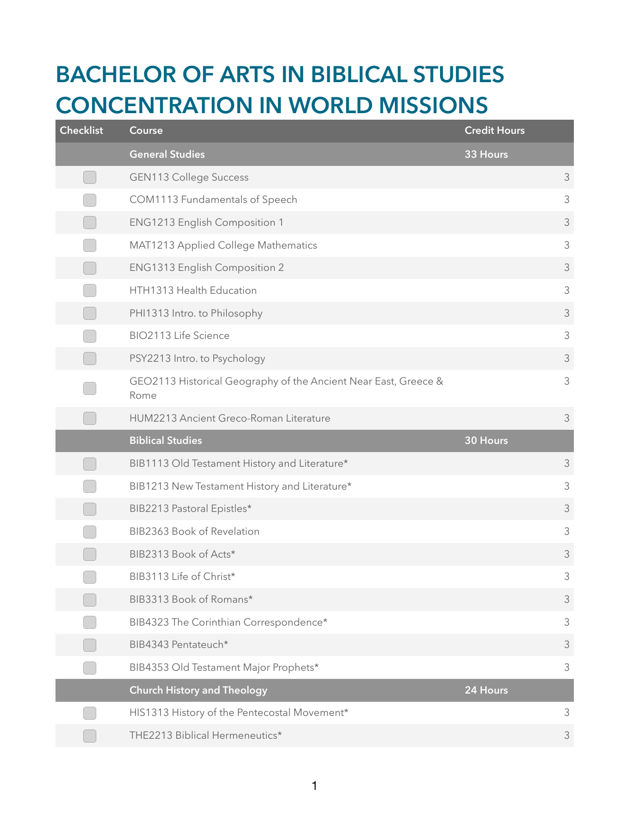## **BACHELOR OF ARTS IN BIBLICAL STUDIES CONCENTRATION IN WORLD MISSIONS**

| <b>Checklist</b> | Course                                                                  | <b>Credit Hours</b> |                |
|------------------|-------------------------------------------------------------------------|---------------------|----------------|
|                  | <b>General Studies</b>                                                  | 33 Hours            |                |
|                  | <b>GEN113 College Success</b>                                           |                     | 3              |
|                  | COM1113 Fundamentals of Speech                                          |                     | 3              |
|                  | ENG1213 English Composition 1                                           |                     | $\mathfrak{Z}$ |
|                  | MAT1213 Applied College Mathematics                                     |                     | $\mathfrak{Z}$ |
|                  | ENG1313 English Composition 2                                           |                     | $\mathfrak{Z}$ |
|                  | HTH1313 Health Education                                                |                     | 3              |
|                  | PHI1313 Intro. to Philosophy                                            |                     | $\mathfrak{Z}$ |
|                  | BIO2113 Life Science                                                    |                     | 3              |
|                  | PSY2213 Intro. to Psychology                                            |                     | 3              |
|                  | GEO2113 Historical Geography of the Ancient Near East, Greece &<br>Rome |                     | $\mathfrak{Z}$ |
|                  | HUM2213 Ancient Greco-Roman Literature                                  |                     | $\mathfrak{Z}$ |
|                  |                                                                         |                     |                |
|                  | <b>Biblical Studies</b>                                                 | 30 Hours            |                |
|                  | BIB1113 Old Testament History and Literature*                           |                     | 3              |
|                  | BIB1213 New Testament History and Literature*                           |                     | $\mathfrak{Z}$ |
|                  | BIB2213 Pastoral Epistles*                                              |                     | $\mathfrak{Z}$ |
|                  | BIB2363 Book of Revelation                                              |                     | 3              |
|                  | BIB2313 Book of Acts*                                                   |                     | $\mathfrak{Z}$ |
|                  | BIB3113 Life of Christ*                                                 |                     | $\mathfrak{Z}$ |
|                  | BIB3313 Book of Romans*                                                 |                     | $\mathfrak{Z}$ |
|                  | BIB4323 The Corinthian Correspondence*                                  |                     | $\mathfrak{Z}$ |
|                  | BIB4343 Pentateuch*                                                     |                     | $\mathfrak{Z}$ |
|                  | BIB4353 Old Testament Major Prophets*                                   |                     | $\mathfrak{Z}$ |
|                  | <b>Church History and Theology</b>                                      | 24 Hours            |                |
|                  | HIS1313 History of the Pentecostal Movement*                            |                     | $\mathfrak{Z}$ |